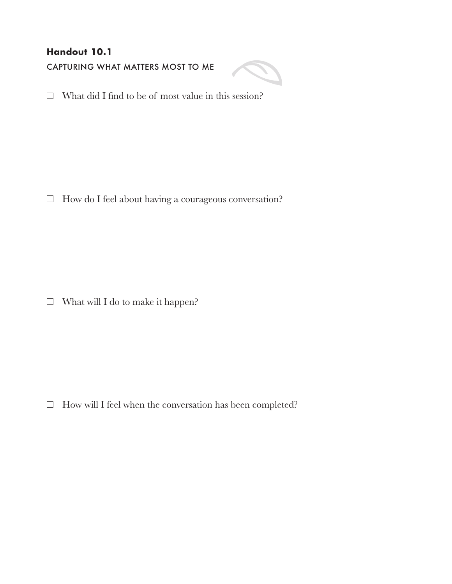## **Handout 10.1**

CAPTURING WHAT MATTERS MOST TO ME



 $\Box$  What did I find to be of most value in this session?

 $\Box$  How do I feel about having a courageous conversation?

 $\Box$  What will I do to make it happen?

 $\Box$  How will I feel when the conversation has been completed?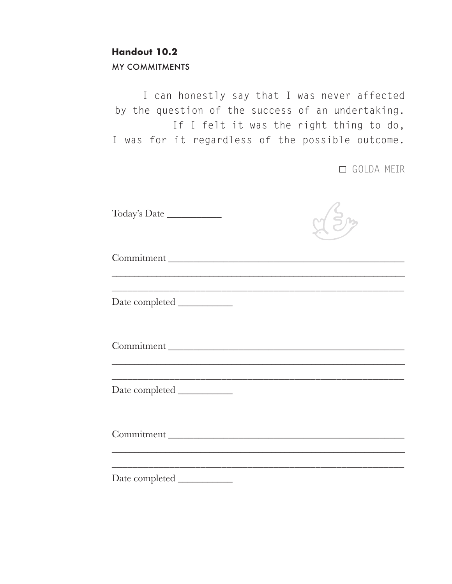## **Handout 10.2**

MY COMMITMENTS

I can honestly say that I was never affected by the question of the success of an undertaking. If I felt it was the right thing to do, I was for it regardless of the possible outcome.

GOLDA MEIR

| Commitment |  |
|------------|--|
|            |  |
| Commitment |  |
|            |  |
| Commitment |  |
|            |  |